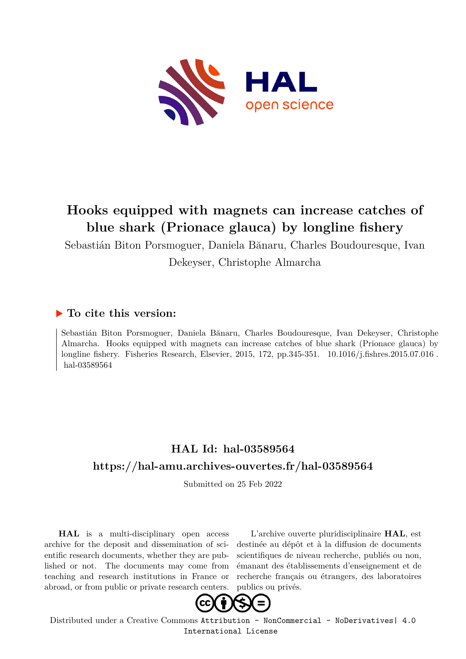

# **Hooks equipped with magnets can increase catches of blue shark (Prionace glauca) by longline fishery**

Sebastián Biton Porsmoguer, Daniela Bănaru, Charles Boudouresque, Ivan Dekeyser, Christophe Almarcha

## **To cite this version:**

Sebastián Biton Porsmoguer, Daniela Bănaru, Charles Boudouresque, Ivan Dekeyser, Christophe Almarcha. Hooks equipped with magnets can increase catches of blue shark (Prionace glauca) by longline fishery. Fisheries Research, Elsevier, 2015, 172, pp.345-351. 10.1016/j.fishres.2015.07.016. hal-03589564

## **HAL Id: hal-03589564 <https://hal-amu.archives-ouvertes.fr/hal-03589564>**

Submitted on 25 Feb 2022

**HAL** is a multi-disciplinary open access archive for the deposit and dissemination of scientific research documents, whether they are published or not. The documents may come from teaching and research institutions in France or abroad, or from public or private research centers.

L'archive ouverte pluridisciplinaire **HAL**, est destinée au dépôt et à la diffusion de documents scientifiques de niveau recherche, publiés ou non, émanant des établissements d'enseignement et de recherche français ou étrangers, des laboratoires publics ou privés.



Distributed under a Creative Commons [Attribution - NonCommercial - NoDerivatives| 4.0](http://creativecommons.org/licenses/by-nc-nd/4.0/) [International License](http://creativecommons.org/licenses/by-nc-nd/4.0/)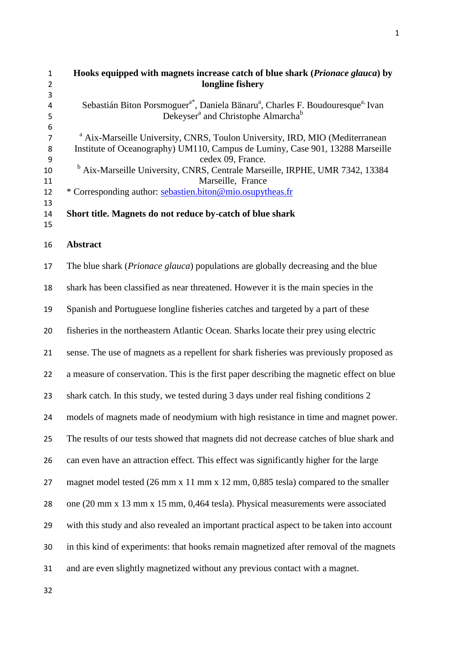| 1  | Hooks equipped with magnets increase catch of blue shark ( <i>Prionace glauca</i> ) by                              |
|----|---------------------------------------------------------------------------------------------------------------------|
|    | longline fishery                                                                                                    |
| 3  |                                                                                                                     |
| 4  | Sebastián Biton Porsmoguer <sup>a*</sup> , Daniela Bănaru <sup>a</sup> , Charles F. Boudouresque <sup>a,</sup> Ivan |
| 5  | Dekeyser <sup>a</sup> and Christophe Almarcha <sup>b</sup>                                                          |
| 6  |                                                                                                                     |
|    | <sup>a</sup> Aix-Marseille University, CNRS, Toulon University, IRD, MIO (Mediterranean                             |
| 8  | Institute of Oceanography) UM110, Campus de Luminy, Case 901, 13288 Marseille                                       |
| -9 | cedex 09, France.                                                                                                   |
| 10 | <sup>b</sup> Aix-Marseille University, CNRS, Centrale Marseille, IRPHE, UMR 7342, 13384                             |
| 11 | Marseille, France                                                                                                   |
| 12 | * Corresponding author: sebastien.biton@mio.osupytheas.fr                                                           |
| 13 |                                                                                                                     |
| 14 | Short title. Magnets do not reduce by-catch of blue shark                                                           |

**Abstract** 

 The blue shark (*Prionace glauca*) populations are globally decreasing and the blue shark has been classified as near threatened. However it is the main species in the Spanish and Portuguese longline fisheries catches and targeted by a part of these fisheries in the northeastern Atlantic Ocean. Sharks locate their prey using electric sense. The use of magnets as a repellent for shark fisheries was previously proposed as a measure of conservation. This is the first paper describing the magnetic effect on blue shark catch. In this study, we tested during 3 days under real fishing conditions 2 models of magnets made of neodymium with high resistance in time and magnet power. The results of our tests showed that magnets did not decrease catches of blue shark and can even have an attraction effect. This effect was significantly higher for the large magnet model tested (26 mm x 11 mm x 12 mm, 0,885 tesla) compared to the smaller one (20 mm x 13 mm x 15 mm, 0,464 tesla). Physical measurements were associated with this study and also revealed an important practical aspect to be taken into account in this kind of experiments: that hooks remain magnetized after removal of the magnets and are even slightly magnetized without any previous contact with a magnet.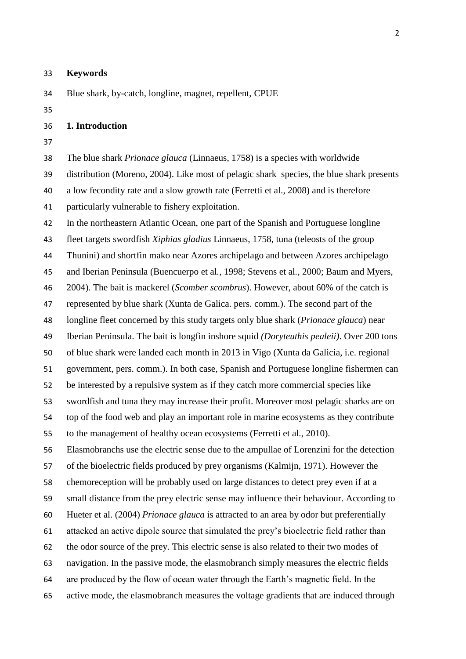**Keywords**

Blue shark, by-catch, longline, magnet, repellent, CPUE

#### **1. Introduction**

 The blue shark *Prionace glauca* (Linnaeus, 1758) is a species with worldwide distribution (Moreno, 2004). Like most of pelagic shark species, the blue shark presents a low fecondity rate and a slow growth rate (Ferretti et al., 2008) and is therefore particularly vulnerable to fishery exploitation.

In the northeastern Atlantic Ocean, one part of the Spanish and Portuguese longline

fleet targets swordfish *Xiphias gladius* Linnaeus, 1758, tuna (teleosts of the group

Thunini) and shortfin mako near Azores archipelago and between Azores archipelago

and Iberian Peninsula (Buencuerpo et al*.,* 1998; Stevens et al*.,* 2000; Baum and Myers,

2004). The bait is mackerel (*Scomber scombrus*). However, about 60% of the catch is

represented by blue shark (Xunta de Galica. pers. comm.). The second part of the

longline fleet concerned by this study targets only blue shark (*Prionace glauca*) near

Iberian Peninsula. The bait is longfin inshore squid *(Doryteuthis pealeii)*. Over 200 tons

of blue shark were landed each month in 2013 in Vigo (Xunta da Galicia, i.e. regional

government, pers. comm.). In both case, Spanish and Portuguese longline fishermen can

be interested by a repulsive system as if they catch more commercial species like

 swordfish and tuna they may increase their profit. Moreover most pelagic sharks are on top of the food web and play an important role in marine ecosystems as they contribute to the management of healthy ocean ecosystems (Ferretti et al., 2010).

Elasmobranchs use the electric sense due to the ampullae of Lorenzini for the detection

of the bioelectric fields produced by prey organisms (Kalmijn, 1971). However the

chemoreception will be probably used on large distances to detect prey even if at a

small distance from the prey electric sense may influence their behaviour. According to

Hueter et al. (2004) *Prionace glauca* is attracted to an area by odor but preferentially

attacked an active dipole source that simulated the prey's bioelectric field rather than

the odor source of the prey. This electric sense is also related to their two modes of

navigation. In the passive mode, the elasmobranch simply measures the electric fields

are produced by the flow of ocean water through the Earth's magnetic field. In the

active mode, the elasmobranch measures the voltage gradients that are induced through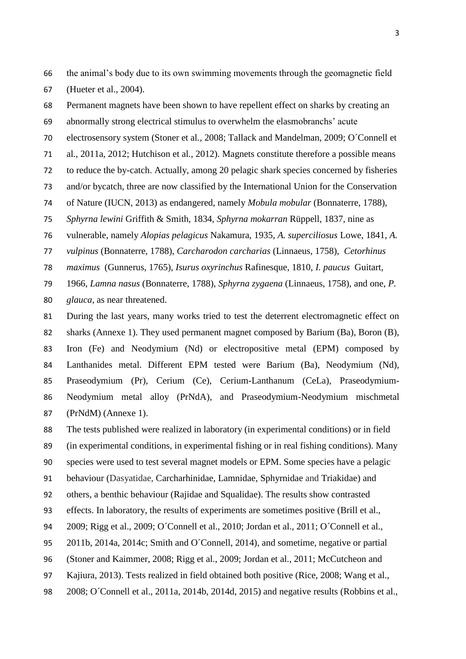the animal's body due to its own swimming movements through the geomagnetic field (Hueter et al., 2004).

 Permanent magnets have been shown to have repellent effect on sharks by creating an abnormally strong electrical stimulus to overwhelm the elasmobranchs' acute

electrosensory system (Stoner et al*.,* 2008; Tallack and Mandelman, 2009; O´Connell et

al*.*, 2011a, 2012; Hutchison et al*.*, 2012). Magnets constitute therefore a possible means

to reduce the by-catch. Actually, among 20 pelagic shark species concerned by fisheries

and/or bycatch, three are now classified by the International Union for the Conservation

of Nature (IUCN, 2013) as endangered, namely *Mobula mobular* (Bonnaterre, 1788),

*Sphyrna lewini* Griffith & Smith, 1834, *Sphyrna mokarran* Rüppell, 1837, nine as

vulnerable, namely *Alopias pelagicus* Nakamura, 1935, *A. superciliosus* Lowe, 1841, *A.* 

*vulpinus* (Bonnaterre, 1788), *Carcharodon carcharias* (Linnaeus, 1758), *Cetorhinus* 

*maximus* (Gunnerus, 1765), *Isurus oxyrinchus* Rafinesque, 1810, *I. paucus* Guitart,

1966, *Lamna nasus* (Bonnaterre, 1788), *Sphyrna zygaena* (Linnaeus, 1758), and one, *P.* 

*glauca,* as near threatened.

 During the last years, many works tried to test the deterrent electromagnetic effect on sharks (Annexe 1). They used permanent magnet composed by Barium (Ba), Boron (B), Iron (Fe) and Neodymium (Nd) or electropositive metal (EPM) composed by Lanthanides metal. Different EPM tested were Barium (Ba), Neodymium (Nd), Praseodymium (Pr), Cerium (Ce), Cerium-Lanthanum (CeLa), Praseodymium- Neodymium metal alloy (PrNdA), and Praseodymium-Neodymium mischmetal (PrNdM) (Annexe 1).

The tests published were realized in laboratory (in experimental conditions) or in field

(in experimental conditions, in experimental fishing or in real fishing conditions). Many

- species were used to test several magnet models or EPM. Some species have a pelagic
- behaviour (Dasyatidae, Carcharhinidae, Lamnidae, Sphyrnidae and Triakidae) and

others, a benthic behaviour (Rajidae and Squalidae). The results show contrasted

effects. In laboratory, the results of experiments are sometimes positive (Brill et al.,

- 2009; Rigg et al., 2009; O´Connell et al., 2010; Jordan et al., 2011; O´Connell et al.,
- 2011b, 2014a, 2014c; Smith and O´Connell, 2014), and sometime, negative or partial
- (Stoner and Kaimmer, 2008; Rigg et al., 2009; Jordan et al., 2011; McCutcheon and
- Kajiura, 2013). Tests realized in field obtained both positive (Rice, 2008; Wang et al.,
- 2008; O´Connell et al., 2011a, 2014b, 2014d, 2015) and negative results (Robbins et al.,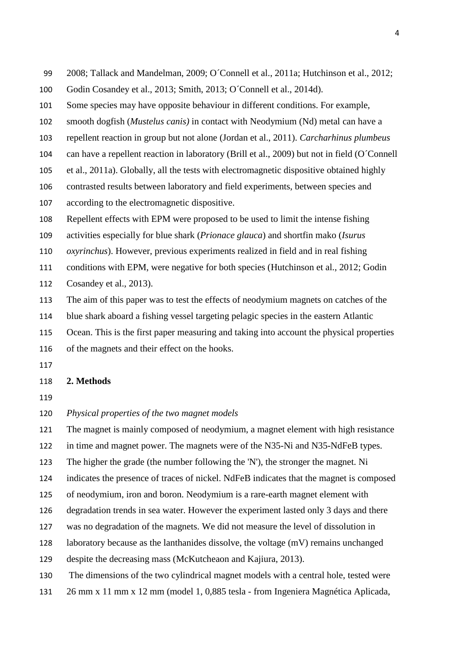- 2008; Tallack and Mandelman, 2009; O´Connell et al., 2011a; Hutchinson et al., 2012;
- Godin Cosandey et al., 2013; Smith, 2013; O´Connell et al., 2014d).
- Some species may have opposite behaviour in different conditions. For example,
- smooth dogfish (*Mustelus canis)* in contact with Neodymium (Nd) metal can have a
- repellent reaction in group but not alone (Jordan et al., 2011). *Carcharhinus plumbeus*
- can have a repellent reaction in laboratory (Brill et al., 2009) but not in field (O´Connell
- et al., 2011a). Globally, all the tests with electromagnetic dispositive obtained highly
- contrasted results between laboratory and field experiments, between species and
- according to the electromagnetic dispositive.
- Repellent effects with EPM were proposed to be used to limit the intense fishing
- activities especially for blue shark (*Prionace glauca*) and shortfin mako (*Isurus*
- *oxyrinchus*). However, previous experiments realized in field and in real fishing
- conditions with EPM, were negative for both species (Hutchinson et al., 2012; Godin
- Cosandey et al., 2013).
- The aim of this paper was to test the effects of neodymium magnets on catches of the
- blue shark aboard a fishing vessel targeting pelagic species in the eastern Atlantic
- Ocean. This is the first paper measuring and taking into account the physical properties
- of the magnets and their effect on the hooks.
- 

#### **2. Methods**

- 
- *Physical properties of the two magnet models*
- The magnet is mainly composed of neodymium, a magnet element with high resistance
- in time and magnet power. The magnets were of the N35-Ni and N35-NdFeB types.
- The higher the grade (the number following the 'N'), the stronger the magnet. Ni
- indicates the presence of traces of nickel. NdFeB indicates that the magnet is composed
- of neodymium, iron and boron. Neodymium is a rare-earth magnet element with
- degradation trends in sea water. However the experiment lasted only 3 days and there
- was no degradation of the magnets. We did not measure the level of dissolution in
- laboratory because as the lanthanides dissolve, the voltage (mV) remains unchanged
- despite the decreasing mass (McKutcheaon and Kajiura, 2013).
- The dimensions of the two cylindrical magnet models with a central hole, tested were
- 26 mm x 11 mm x 12 mm (model 1, 0,885 tesla from Ingeniera Magnética Aplicada,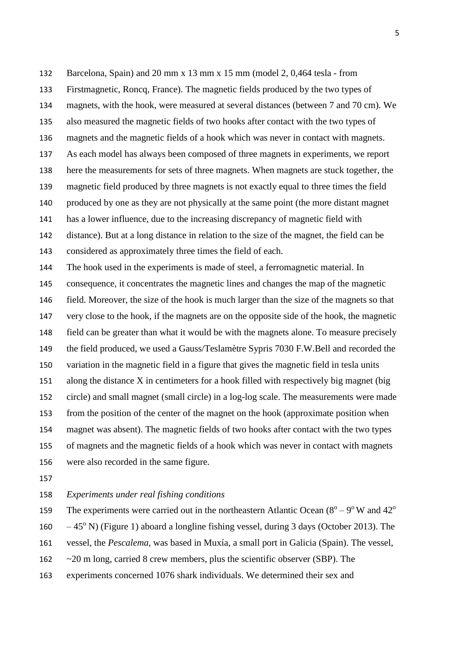Barcelona, Spain) and 20 mm x 13 mm x 15 mm (model 2, 0,464 tesla - from Firstmagnetic, Roncq, France). The magnetic fields produced by the two types of magnets, with the hook, were measured at several distances (between 7 and 70 cm). We also measured the magnetic fields of two hooks after contact with the two types of magnets and the magnetic fields of a hook which was never in contact with magnets. As each model has always been composed of three magnets in experiments, we report here the measurements for sets of three magnets. When magnets are stuck together, the magnetic field produced by three magnets is not exactly equal to three times the field produced by one as they are not physically at the same point (the more distant magnet has a lower influence, due to the increasing discrepancy of magnetic field with distance). But at a long distance in relation to the size of the magnet, the field can be considered as approximately three times the field of each. The hook used in the experiments is made of steel, a ferromagnetic material. In consequence, it concentrates the magnetic lines and changes the map of the magnetic field. Moreover, the size of the hook is much larger than the size of the magnets so that very close to the hook, if the magnets are on the opposite side of the hook, the magnetic field can be greater than what it would be with the magnets alone. To measure precisely the field produced, we used a Gauss/Teslamètre Sypris 7030 F.W.Bell and recorded the variation in the magnetic field in a figure that gives the magnetic field in tesla units along the distance X in centimeters for a hook filled with respectively big magnet (big circle) and small magnet (small circle) in a log-log scale. The measurements were made from the position of the center of the magnet on the hook (approximate position when magnet was absent). The magnetic fields of two hooks after contact with the two types of magnets and the magnetic fields of a hook which was never in contact with magnets were also recorded in the same figure.

#### *Experiments under real fishing conditions*

The experiments were carried out in the northeastern Atlantic Ocean  $(8^{\circ} - 9^{\circ} W$  and  $42^{\circ}$ 

160  $-45^{\circ}$  N) (Figure 1) aboard a longline fishing vessel, during 3 days (October 2013). The

vessel, the *Pescalema*, was based in Muxía, a small port in Galicia (Spain). The vessel,

~20 m long, carried 8 crew members, plus the scientific observer (SBP). The

experiments concerned 1076 shark individuals. We determined their sex and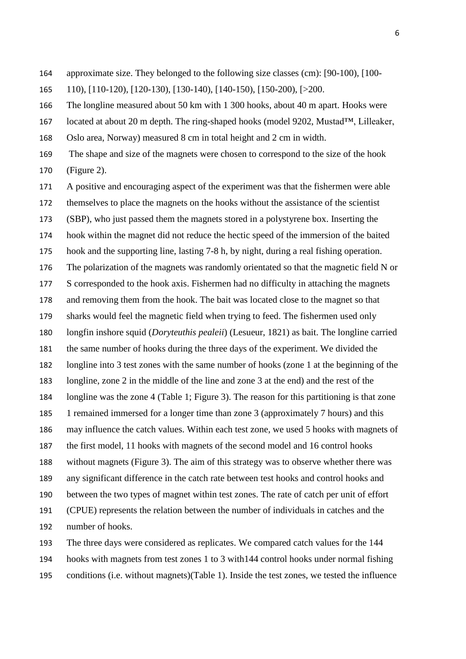approximate size. They belonged to the following size classes (cm): [90-100), [100-

110), [110-120), [120-130), [130-140), [140-150), [150-200), [>200.

The longline measured about 50 km with 1 300 hooks, about 40 m apart. Hooks were

located at about 20 m depth. The ring-shaped hooks (model 9202, Mustad™, Lilleaker,

Oslo area, Norway) measured 8 cm in total height and 2 cm in width.

 The shape and size of the magnets were chosen to correspond to the size of the hook (Figure 2).

 A positive and encouraging aspect of the experiment was that the fishermen were able themselves to place the magnets on the hooks without the assistance of the scientist (SBP), who just passed them the magnets stored in a polystyrene box. Inserting the hook within the magnet did not reduce the hectic speed of the immersion of the baited hook and the supporting line, lasting 7-8 h, by night, during a real fishing operation. The polarization of the magnets was randomly orientated so that the magnetic field N or S corresponded to the hook axis. Fishermen had no difficulty in attaching the magnets and removing them from the hook. The bait was located close to the magnet so that sharks would feel the magnetic field when trying to feed. The fishermen used only longfin inshore squid (*Doryteuthis pealeii*) (Lesueur, 1821) as bait. The longline carried the same number of hooks during the three days of the experiment. We divided the longline into 3 test zones with the same number of hooks (zone 1 at the beginning of the longline, zone 2 in the middle of the line and zone 3 at the end) and the rest of the longline was the zone 4 (Table 1; Figure 3). The reason for this partitioning is that zone 1 remained immersed for a longer time than zone 3 (approximately 7 hours) and this may influence the catch values. Within each test zone, we used 5 hooks with magnets of the first model, 11 hooks with magnets of the second model and 16 control hooks without magnets (Figure 3). The aim of this strategy was to observe whether there was any significant difference in the catch rate between test hooks and control hooks and between the two types of magnet within test zones. The rate of catch per unit of effort (CPUE) represents the relation between the number of individuals in catches and the number of hooks.

 The three days were considered as replicates. We compared catch values for the 144 hooks with magnets from test zones 1 to 3 with144 control hooks under normal fishing conditions (i.e. without magnets)(Table 1). Inside the test zones, we tested the influence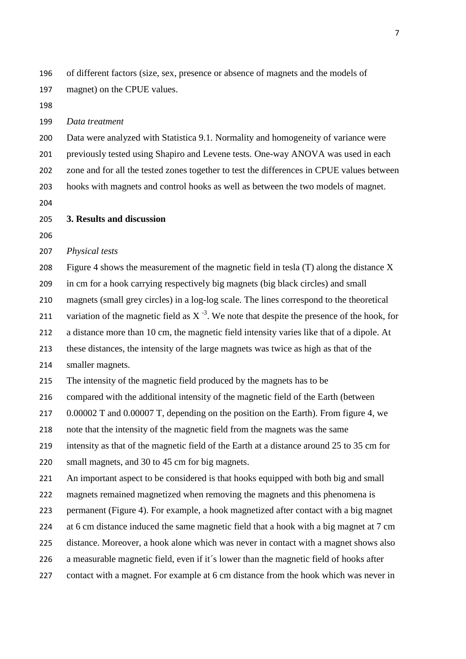of different factors (size, sex, presence or absence of magnets and the models of magnet) on the CPUE values.

#### *Data treatment*

 Data were analyzed with Statistica 9.1. Normality and homogeneity of variance were previously tested using Shapiro and Levene tests. One-way ANOVA was used in each zone and for all the tested zones together to test the differences in CPUE values between hooks with magnets and control hooks as well as between the two models of magnet.

#### **3. Results and discussion**

#### *Physical tests*

Figure 4 shows the measurement of the magnetic field in tesla (T) along the distance X

in cm for a hook carrying respectively big magnets (big black circles) and small

magnets (small grey circles) in a log-log scale. The lines correspond to the theoretical

211 variation of the magnetic field as  $X^{-3}$ . We note that despite the presence of the hook, for

a distance more than 10 cm, the magnetic field intensity varies like that of a dipole. At

these distances, the intensity of the large magnets was twice as high as that of the

#### smaller magnets.

The intensity of the magnetic field produced by the magnets has to be

compared with the additional intensity of the magnetic field of the Earth (between

217 0.00002 T and 0.00007 T, depending on the position on the Earth). From figure 4, we

note that the intensity of the magnetic field from the magnets was the same

intensity as that of the magnetic field of the Earth at a distance around 25 to 35 cm for

small magnets, and 30 to 45 cm for big magnets.

An important aspect to be considered is that hooks equipped with both big and small

magnets remained magnetized when removing the magnets and this phenomena is

permanent (Figure 4). For example, a hook magnetized after contact with a big magnet

224 at 6 cm distance induced the same magnetic field that a hook with a big magnet at 7 cm

distance. Moreover, a hook alone which was never in contact with a magnet shows also

a measurable magnetic field, even if it´s lower than the magnetic field of hooks after

contact with a magnet. For example at 6 cm distance from the hook which was never in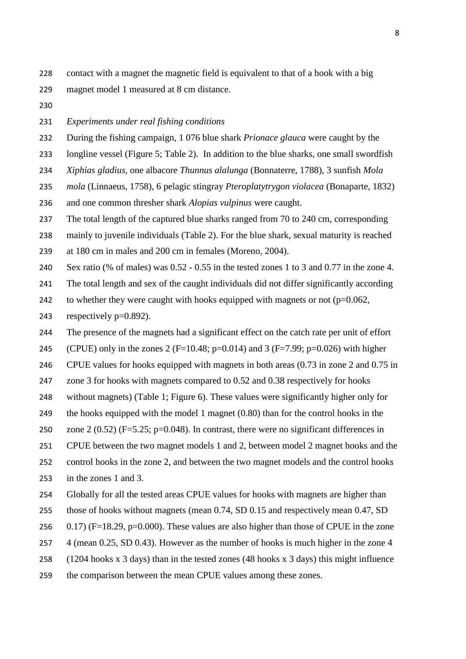- contact with a magnet the magnetic field is equivalent to that of a hook with a big magnet model 1 measured at 8 cm distance.
- 

#### *Experiments under real fishing conditions*

During the fishing campaign, 1 076 blue shark *Prionace glauca* were caught by the

- longline vessel (Figure 5; Table 2). In addition to the blue sharks, one small swordfish
- *Xiphias gladius*, one albacore *Thunnus alalunga* (Bonnaterre, 1788), 3 sunfish *Mola*
- *mola* (Linnaeus, 1758), 6 pelagic stingray *Pteroplatytrygon violacea* (Bonaparte, 1832)
- and one common thresher shark *Alopias vulpinus* were caught.

237 The total length of the captured blue sharks ranged from 70 to 240 cm, corresponding

 mainly to juvenile individuals (Table 2). For the blue shark, sexual maturity is reached at 180 cm in males and 200 cm in females (Moreno, 2004).

Sex ratio (% of males) was 0.52 - 0.55 in the tested zones 1 to 3 and 0.77 in the zone 4.

The total length and sex of the caught individuals did not differ significantly according

- 242 to whether they were caught with hooks equipped with magnets or not  $(p=0.062,$
- 243 respectively  $p=0.892$ ).
- The presence of the magnets had a significant effect on the catch rate per unit of effort
- 245 (CPUE) only in the zones 2 (F=10.48; p=0.014) and 3 (F=7.99; p=0.026) with higher
- CPUE values for hooks equipped with magnets in both areas (0.73 in zone 2 and 0.75 in
- zone 3 for hooks with magnets compared to 0.52 and 0.38 respectively for hooks
- without magnets) (Table 1; Figure 6). These values were significantly higher only for
- the hooks equipped with the model 1 magnet (0.80) than for the control hooks in the
- zone 2 (0.52) (F=5.25; p=0.048). In contrast, there were no significant differences in
- CPUE between the two magnet models 1 and 2, between model 2 magnet hooks and the
- control hooks in the zone 2, and between the two magnet models and the control hooks
- in the zones 1 and 3.
- Globally for all the tested areas CPUE values for hooks with magnets are higher than
- those of hooks without magnets (mean 0.74, SD 0.15 and respectively mean 0.47, SD
- 256  $(0.17)$  (F=18.29, p=0.000). These values are also higher than those of CPUE in the zone
- 257 4 (mean 0.25, SD 0.43). However as the number of hooks is much higher in the zone 4
- (1204 hooks x 3 days) than in the tested zones (48 hooks x 3 days) this might influence
- the comparison between the mean CPUE values among these zones.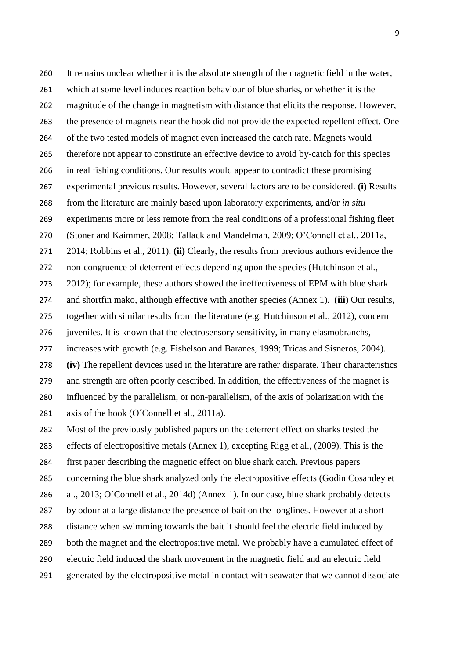It remains unclear whether it is the absolute strength of the magnetic field in the water, which at some level induces reaction behaviour of blue sharks, or whether it is the magnitude of the change in magnetism with distance that elicits the response. However, the presence of magnets near the hook did not provide the expected repellent effect. One of the two tested models of magnet even increased the catch rate. Magnets would therefore not appear to constitute an effective device to avoid by-catch for this species in real fishing conditions. Our results would appear to contradict these promising experimental previous results. However, several factors are to be considered. **(i)** Results from the literature are mainly based upon laboratory experiments, and/or *in situ* experiments more or less remote from the real conditions of a professional fishing fleet (Stoner and Kaimmer, 2008; Tallack and Mandelman, 2009; O'Connell et al*.*, 2011a, 2014; Robbins et al., 2011). **(ii)** Clearly, the results from previous authors evidence the non-congruence of deterrent effects depending upon the species (Hutchinson et al*.,* 2012); for example, these authors showed the ineffectiveness of EPM with blue shark and shortfin mako, although effective with another species (Annex 1). **(iii)** Our results, together with similar results from the literature (e.g. Hutchinson et al*.,* 2012), concern juveniles. It is known that the electrosensory sensitivity, in many elasmobranchs, increases with growth (e.g. [Fishelson](http://www.researchgate.net/researcher/2940011_L_Fishelson) and [Baranes,](http://www.researchgate.net/researcher/33287875_A_Baranes) 1999; Tricas and Sisneros, 2004). **(iv)** The repellent devices used in the literature are rather disparate. Their characteristics and strength are often poorly described. In addition, the effectiveness of the magnet is influenced by the parallelism, or non-parallelism, of the axis of polarization with the 281 axis of the hook (O'Connell et al., 2011a). Most of the previously published papers on the deterrent effect on sharks tested the effects of electropositive metals (Annex 1), excepting Rigg et al., (2009). This is the first paper describing the magnetic effect on blue shark catch. Previous papers concerning the blue shark analyzed only the electropositive effects (Godin Cosandey et al., 2013; O´Connell et al., 2014d) (Annex 1). In our case, blue shark probably detects by odour at a large distance the presence of bait on the longlines. However at a short

- distance when swimming towards the bait it should feel the electric field induced by
- both the magnet and the electropositive metal. We probably have a cumulated effect of
- electric field induced the shark movement in the magnetic field and an electric field
- generated by the electropositive metal in contact with seawater that we cannot dissociate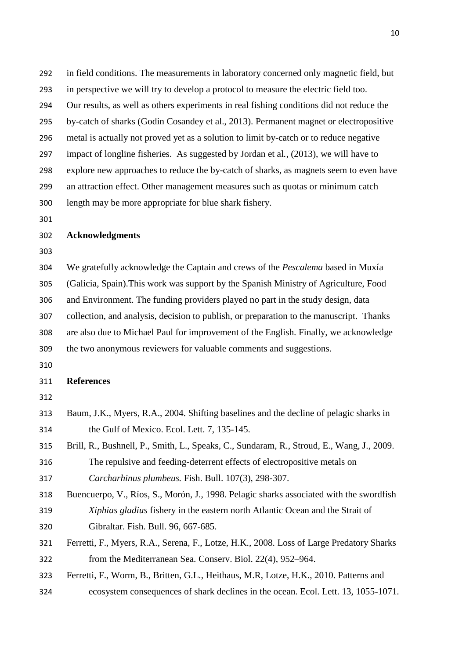in field conditions. The measurements in laboratory concerned only magnetic field, but in perspective we will try to develop a protocol to measure the electric field too. Our results, as well as others experiments in real fishing conditions did not reduce the by-catch of sharks (Godin Cosandey et al., 2013). Permanent magnet or electropositive metal is actually not proved yet as a solution to limit by-catch or to reduce negative impact of longline fisheries. As suggested by Jordan et al*.,* (2013), we will have to explore new approaches to reduce the by-catch of sharks, as magnets seem to even have an attraction effect. Other management measures such as quotas or minimum catch length may be more appropriate for blue shark fishery.

#### **Acknowledgments**

 We gratefully acknowledge the Captain and crews of the *Pescalema* based in Muxía (Galicia, Spain).This work was support by the Spanish Ministry of Agriculture, Food and Environment. The funding providers played no part in the study design, data collection, and analysis, decision to publish, or preparation to the manuscript. Thanks are also due to Michael Paul for improvement of the English. Finally, we acknowledge the two anonymous reviewers for valuable comments and suggestions.

#### **References**

- Baum, J.K., Myers, R.A., 2004. Shifting baselines and the decline of pelagic sharks in the Gulf of Mexico. Ecol. Lett. 7, 135-145.
- Brill, R., Bushnell, P., Smith, L., Speaks, C., Sundaram, R., Stroud, E., Wang, J., 2009. The repulsive and feeding-deterrent effects of electropositive metals on *Carcharhinus plumbeus.* Fish. Bull. 107(3), 298-307.
- Buencuerpo, V., Ríos, S., Morón, J., 1998. Pelagic sharks associated with the swordfish *Xiphias gladius* fishery in the eastern north Atlantic Ocean and the Strait of Gibraltar. Fish. Bull. 96, 667-685.
- Ferretti, F., Myers, R.A., Serena, F., Lotze, H.K., 2008. Loss of Large Predatory Sharks from the Mediterranean Sea. Conserv. Biol. 22(4), 952–964.
- Ferretti, F., Worm, B., Britten, G.L., Heithaus, M.R, Lotze, H.K., 2010. Patterns and
- ecosystem consequences of shark declines in the ocean. Ecol. Lett. 13, 1055-1071.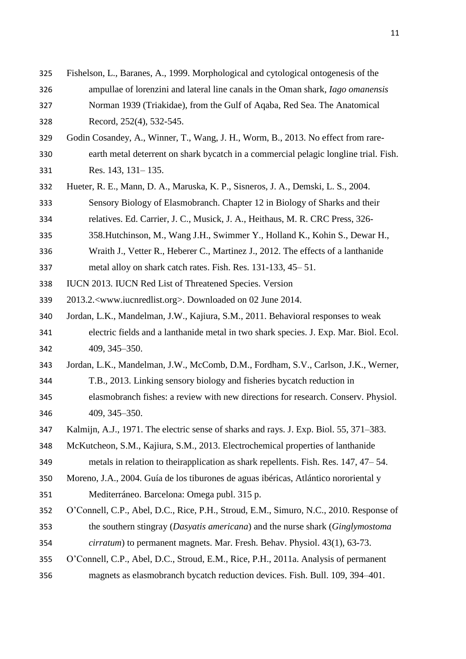| 325 | Fishelson, L., Baranes, A., 1999. Morphological and cytological ontogenesis of the     |
|-----|----------------------------------------------------------------------------------------|
| 326 | ampullae of lorenzini and lateral line canals in the Oman shark, <i>Iago omanensis</i> |
| 327 | Norman 1939 (Triakidae), from the Gulf of Aqaba, Red Sea. The Anatomical               |
| 328 | Record, 252(4), 532-545.                                                               |
| 329 | Godin Cosandey, A., Winner, T., Wang, J. H., Worm, B., 2013. No effect from rare-      |
| 330 | earth metal deterrent on shark bycatch in a commercial pelagic longline trial. Fish.   |
| 331 | Res. 143, 131–135.                                                                     |
| 332 | Hueter, R. E., Mann, D. A., Maruska, K. P., Sisneros, J. A., Demski, L. S., 2004.      |
| 333 | Sensory Biology of Elasmobranch. Chapter 12 in Biology of Sharks and their             |
| 334 | relatives. Ed. Carrier, J. C., Musick, J. A., Heithaus, M. R. CRC Press, 326-          |
| 335 | 358. Hutchinson, M., Wang J.H., Swimmer Y., Holland K., Kohin S., Dewar H.,            |
| 336 | Wraith J., Vetter R., Heberer C., Martinez J., 2012. The effects of a lanthanide       |
| 337 | metal alloy on shark catch rates. Fish. Res. 131-133, 45–51.                           |
| 338 | IUCN 2013. IUCN Red List of Threatened Species. Version                                |
| 339 | 2013.2. <www.iucnredlist.org>. Downloaded on 02 June 2014.</www.iucnredlist.org>       |
| 340 | Jordan, L.K., Mandelman, J.W., Kajiura, S.M., 2011. Behavioral responses to weak       |
| 341 | electric fields and a lanthanide metal in two shark species. J. Exp. Mar. Biol. Ecol.  |
| 342 | 409, 345-350.                                                                          |
| 343 | Jordan, L.K., Mandelman, J.W., McComb, D.M., Fordham, S.V., Carlson, J.K., Werner,     |
| 344 | T.B., 2013. Linking sensory biology and fisheries bycatch reduction in                 |
| 345 | elasmobranch fishes: a review with new directions for research. Conserv. Physiol.      |
| 346 | 409, 345-350.                                                                          |
| 347 | Kalmijn, A.J., 1971. The electric sense of sharks and rays. J. Exp. Biol. 55, 371–383. |
| 348 | McKutcheon, S.M., Kajiura, S.M., 2013. Electrochemical properties of lanthanide        |
| 349 | metals in relation to theirapplication as shark repellents. Fish. Res. 147, 47–54.     |
| 350 | Moreno, J.A., 2004. Guía de los tiburones de aguas ibéricas, Atlántico nororiental y   |
| 351 | Mediterráneo. Barcelona: Omega publ. 315 p.                                            |
| 352 | O'Connell, C.P., Abel, D.C., Rice, P.H., Stroud, E.M., Simuro, N.C., 2010. Response of |
| 353 | the southern stingray (Dasyatis americana) and the nurse shark (Ginglymostoma          |
| 354 | cirratum) to permanent magnets. Mar. Fresh. Behav. Physiol. 43(1), 63-73.              |
| 355 | O'Connell, C.P., Abel, D.C., Stroud, E.M., Rice, P.H., 2011a. Analysis of permanent    |
| 356 | magnets as elasmobranch bycatch reduction devices. Fish. Bull. 109, 394-401.           |
|     |                                                                                        |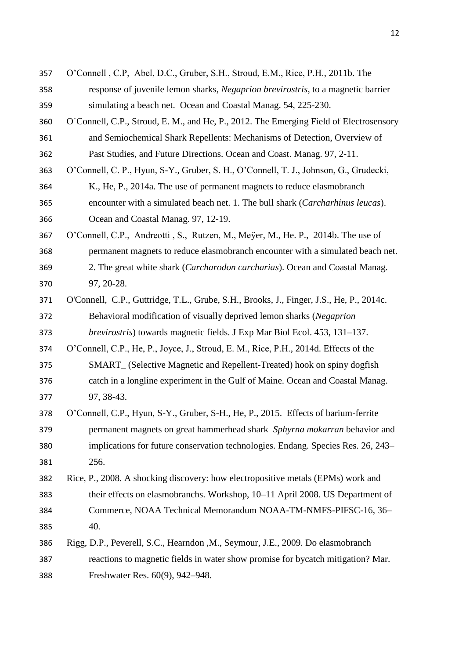| 357 | O'Connell, C.P, Abel, D.C., Gruber, S.H., Stroud, E.M., Rice, P.H., 2011b. The          |
|-----|-----------------------------------------------------------------------------------------|
| 358 | response of juvenile lemon sharks, Negaprion brevirostris, to a magnetic barrier        |
| 359 | simulating a beach net. Ocean and Coastal Manag. 54, 225-230.                           |
| 360 | O'Connell, C.P., Stroud, E. M., and He, P., 2012. The Emerging Field of Electrosensory  |
| 361 | and Semiochemical Shark Repellents: Mechanisms of Detection, Overview of                |
| 362 | Past Studies, and Future Directions. Ocean and Coast. Manag. 97, 2-11.                  |
| 363 | O'Connell, C. P., Hyun, S-Y., Gruber, S. H., O'Connell, T. J., Johnson, G., Grudecki,   |
| 364 | K., He, P., 2014a. The use of permanent magnets to reduce elasmobranch                  |
| 365 | encounter with a simulated beach net. 1. The bull shark (Carcharhinus leucas).          |
| 366 | Ocean and Coastal Manag. 97, 12-19.                                                     |
| 367 | O'Connell, C.P., Andreotti, S., Rutzen, M., Meyer, M., He. P., 2014b. The use of        |
| 368 | permanent magnets to reduce elasmobranch encounter with a simulated beach net.          |
| 369 | 2. The great white shark (Carcharodon carcharias). Ocean and Coastal Manag.             |
| 370 | 97, 20-28.                                                                              |
| 371 | O'Connell, C.P., Guttridge, T.L., Grube, S.H., Brooks, J., Finger, J.S., He, P., 2014c. |
| 372 | Behavioral modification of visually deprived lemon sharks (Negaprion                    |
| 373 | <i>brevirostris</i> ) towards magnetic fields. J Exp Mar Biol Ecol. 453, 131–137.       |
| 374 | O'Connell, C.P., He, P., Joyce, J., Stroud, E. M., Rice, P.H., 2014d. Effects of the    |
| 375 | SMART_ (Selective Magnetic and Repellent-Treated) hook on spiny dogfish                 |
| 376 | catch in a longline experiment in the Gulf of Maine. Ocean and Coastal Manag.           |
| 377 | 97, 38-43.                                                                              |
| 378 | O'Connell, C.P., Hyun, S-Y., Gruber, S-H., He, P., 2015. Effects of barium-ferrite      |
| 379 | permanent magnets on great hammerhead shark Sphyrna mokarran behavior and               |
| 380 | implications for future conservation technologies. Endang. Species Res. 26, 243-        |
| 381 | 256.                                                                                    |
| 382 | Rice, P., 2008. A shocking discovery: how electropositive metals (EPMs) work and        |
| 383 | their effects on elasmobranchs. Workshop, 10–11 April 2008. US Department of            |
| 384 | Commerce, NOAA Technical Memorandum NOAA-TM-NMFS-PIFSC-16, 36-                          |
| 385 | 40.                                                                                     |
| 386 | Rigg, D.P., Peverell, S.C., Hearndon , M., Seymour, J.E., 2009. Do elasmobranch         |
| 387 | reactions to magnetic fields in water show promise for bycatch mitigation? Mar.         |
| 388 | Freshwater Res. 60(9), 942-948.                                                         |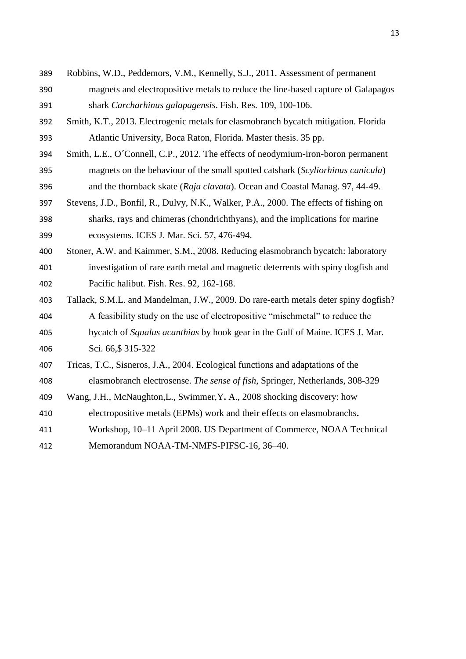- Robbins, W.D., Peddemors, V.M., Kennelly, S.J., 2011. Assessment of permanent magnets and electropositive metals to reduce the line-based capture of Galapagos shark *Carcharhinus galapagensis*. Fish. Res. 109, 100-106.
- Smith, K.T., 2013. Electrogenic metals for elasmobranch bycatch mitigation. Florida Atlantic University, Boca Raton, Florida. Master thesis. 35 pp.
- Smith, L.E., O´Connell, C.P., 2012. The effects of neodymium-iron-boron permanent magnets on the behaviour of the small spotted catshark (*Scyliorhinus canicula*) and the thornback skate (*Raja clavata*). Ocean and Coastal Manag. 97, 44-49.
- Stevens, J.D., Bonfil, R., Dulvy, N.K., Walker, P.A., 2000. The effects of fishing on sharks, rays and chimeras (chondrichthyans), and the implications for marine ecosystems. ICES J. Mar. Sci. 57, 476-494.
- Stoner, A.W. and Kaimmer, S.M., 2008. Reducing elasmobranch bycatch: laboratory investigation of rare earth metal and magnetic deterrents with spiny dogfish and Pacific halibut. Fish. Res. 92, 162-168.
- Tallack, S.M.L. and Mandelman, J.W., 2009. Do rare-earth metals deter spiny dogfish? A feasibility study on the use of electropositive "mischmetal" to reduce the bycatch of *Squalus acanthias* by hook gear in the Gulf of Maine. ICES J. Mar. Sci. 66,\$ 315-322
- Tricas, T.C., Sisneros, J.A., 2004. Ecological functions and adaptations of the elasmobranch electrosense. *The sense of fish*, Springer, Netherlands, 308-329
- Wang, J.H., McNaughton,L., Swimmer,Y**.** A., 2008 shocking discovery: how
- electropositive metals (EPMs) work and their effects on elasmobranchs**.**
- Workshop, 10–11 April 2008. US Department of Commerce, NOAA Technical
- Memorandum NOAA-TM-NMFS-PIFSC-16, 36–40.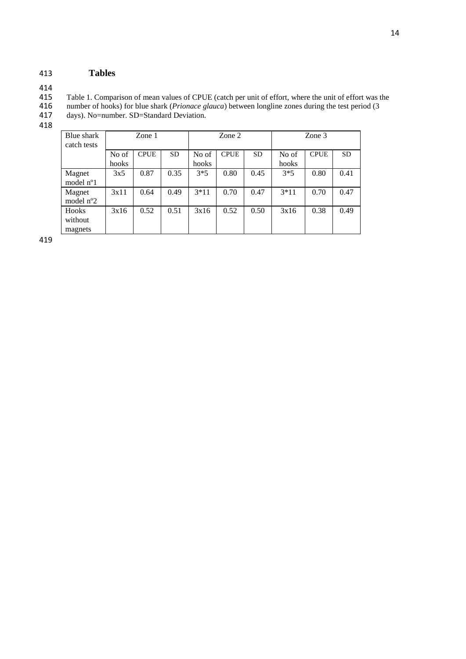#### 413 **Tables**

414<br>415 415 Table 1. Comparison of mean values of CPUE (catch per unit of effort, where the unit of effort was the

416 number of hooks) for blue shark (*Prionace glauca*) between longline zones during the test period (3

417 days). No=number. SD=Standard Deviation.

418

| Blue shark<br>catch tests        | Zone 1 |             | Zone 2    |        |             | Zone 3    |        |             |           |
|----------------------------------|--------|-------------|-----------|--------|-------------|-----------|--------|-------------|-----------|
|                                  | No of  | <b>CPUE</b> | <b>SD</b> | No of  | <b>CPUE</b> | <b>SD</b> | No of  | <b>CPUE</b> | <b>SD</b> |
|                                  | hooks  |             |           | hooks  |             |           | hooks  |             |           |
| Magnet<br>model n <sup>o</sup> 1 | 3x5    | 0.87        | 0.35      | $3*5$  | 0.80        | 0.45      | $3*5$  | 0.80        | 0.41      |
| Magnet<br>model $n^{\circ}2$     | 3x11   | 0.64        | 0.49      | $3*11$ | 0.70        | 0.47      | $3*11$ | 0.70        | 0.47      |
| Hooks<br>without<br>magnets      | 3x16   | 0.52        | 0.51      | 3x16   | 0.52        | 0.50      | 3x16   | 0.38        | 0.49      |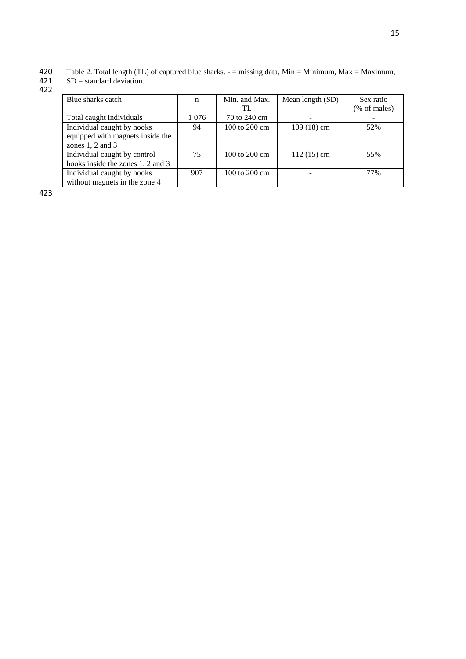420 Table 2. Total length (TL) of captured blue sharks. - = missing data, Min = Minimum, Max = Maximum,

#### $421$  SD = standard deviation.

422

| Blue sharks catch                                                                      | n       | Min. and Max.<br>TL       | Mean length (SD)         | Sex ratio<br>(% of males) |
|----------------------------------------------------------------------------------------|---------|---------------------------|--------------------------|---------------------------|
| Total caught individuals                                                               | 1 0 7 6 | 70 to 240 cm              | $\overline{\phantom{0}}$ |                           |
| Individual caught by hooks<br>equipped with magnets inside the<br>zones $1, 2$ and $3$ | 94      | $100$ to $200$ cm         | $109(18)$ cm             | 52%                       |
| Individual caught by control<br>hooks inside the zones 1, 2 and 3                      | 75      | $100$ to $200 \text{ cm}$ | $112(15)$ cm             | 55%                       |
| Individual caught by hooks<br>without magnets in the zone 4                            | 907     | 100 to 200 cm             |                          | 77%                       |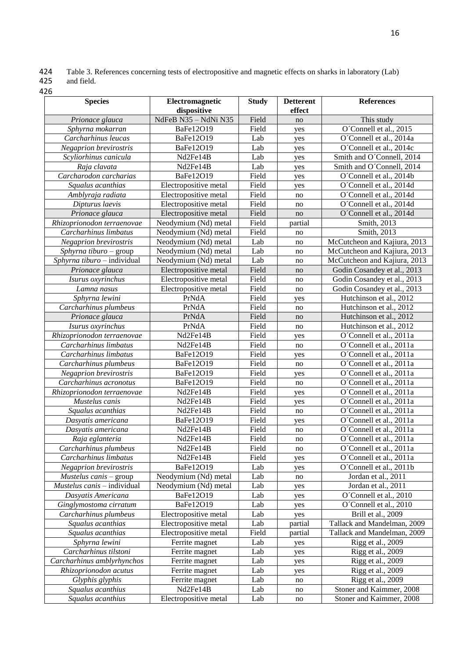424 Table 3. References concerning tests of electropositive and magnetic effects on sharks in laboratory (Lab) field.

| 425 | and |
|-----|-----|
|     |     |

| <b>Species</b>              | Electromagnetic       | <b>Study</b> | <b>Detterent</b>       | <b>References</b>            |  |
|-----------------------------|-----------------------|--------------|------------------------|------------------------------|--|
|                             | dispositive           |              | effect                 |                              |  |
| Prionace glauca             | NdFeB N35 - NdNi N35  | Field        | no                     | This study                   |  |
| Sphyrna mokarran            | BaFe12O19             | Field        | yes                    | O'Connell et al., 2015       |  |
| Carcharhinus leucas         | BaFe12O19             | Lab          | yes                    | O'Connell et al., 2014a      |  |
| Negaprion brevirostris      | BaFe12O19             | Lab          | yes                    | O'Connell et al., 2014c      |  |
| Scyliorhinus canicula       | Nd2Fe14B              | Lab          | yes                    | Smith and O'Connell, 2014    |  |
| Raja clavata                | Nd2Fe14B              | Lab          | yes                    | Smith and O'Connell, 2014    |  |
| Carcharodon carcharias      | BaFe12O19             | Field        | yes                    | O'Connell et al., 2014b      |  |
| Squalus acanthias           | Electropositive metal | Field        | yes                    | O'Connell et al., 2014d      |  |
| Amblyraja radiata           | Electropositive metal | Field        | no                     | O'Connell et al., 2014d      |  |
| Dipturus laevis             | Electropositive metal | Field        | no                     | O'Connell et al., 2014d      |  |
| Prionace glauca             | Electropositive metal | Field        | no                     | O'Connell et al., 2014d      |  |
| Rhizoprionodon terraenovae  | Neodymium (Nd) metal  | Field        | partial                | Smith, 2013                  |  |
| Carcharhinus limbatus       | Neodymium (Nd) metal  | Field        | no                     | Smith, 2013                  |  |
| Negaprion brevirostris      | Neodymium (Nd) metal  | Lab          | no                     | McCutcheon and Kajiura, 2013 |  |
| Sphyrna tiburo - group      | Neodymium (Nd) metal  | Lab          | no                     | McCutcheon and Kajiura, 2013 |  |
| Sphyrna tiburo - individual | Neodymium (Nd) metal  | Lab          | no                     | McCutcheon and Kajiura, 2013 |  |
| Prionace glauca             | Electropositive metal | Field        | no                     | Godin Cosandey et al., 2013  |  |
| Isurus oxyrinchus           | Electropositive metal | Field        | no                     | Godin Cosandey et al., 2013  |  |
| Lamna nasus                 | Electropositive metal | Field        | no                     | Godin Cosandey et al., 2013  |  |
| Sphyrna lewini              | PrNdA                 | Field        | yes                    | Hutchinson et al., 2012      |  |
| Carcharhinus plumbeus       | PrNdA                 | Field        | no                     | Hutchinson et al., 2012      |  |
| Prionace glauca             | PrNdA                 | Field        | no                     | Hutchinson et al., 2012      |  |
| Isurus oxyrinchus           | PrNdA                 | Field        | no                     | Hutchinson et al., 2012      |  |
| Rhizoprionodon terraenovae  | Nd2Fe14B              | Field        | yes                    | O'Connell et al., 2011a      |  |
| Carcharhinus limbatus       | Nd2Fe14B              | Field        | no                     | O'Connell et al., 2011a      |  |
| Carcharhinus limbatus       | BaFe12O19             | Field        | yes                    | O'Connell et al., 2011a      |  |
| Carcharhinus plumbeus       | BaFe12O19             | Field        | no                     | O'Connell et al., 2011a      |  |
| Negaprion brevirostris      | BaFe12O19             | Field        | yes                    | O'Connell et al., 2011a      |  |
| Carcharhinus acronotus      | BaFe12O19             | Field        | no                     | O'Connell et al., 2011a      |  |
| Rhizoprionodon terraenovae  | Nd2Fe14B              | Field        | yes                    | O'Connell et al., 2011a      |  |
| Mustelus canis              | Nd2Fe14B              | Field        | yes                    | O'Connell et al., 2011a      |  |
| Squalus acanthias           | Nd2Fe14B              | Field        | no                     | O'Connell et al., 2011a      |  |
| Dasyatis americana          | BaFe12O19             | Field        | yes                    | O'Connell et al., 2011a      |  |
| Dasyatis americana          | Nd2Fe14B              | Field        | no                     | O'Connell et al., 2011a      |  |
| Raja eglanteria             | Nd2Fe14B              | Field        | no                     | O'Connell et al., 2011a      |  |
| Carcharhinus plumbeus       | Nd2Fe14B              | Field        | $\mathbf{no}$          | O'Connell et al., 2011a      |  |
| Carcharhinus limbatus       | Nd2Fe14B              | Field        | yes                    | O'Connell et al., 2011a      |  |
| Negaprion brevirostris      | BaFe12O19             | Lab          | yes                    | O'Connell et al., 2011b      |  |
| Mustelus canis - group      | Neodymium (Nd) metal  | Lab          | no                     | Jordan et al., 2011          |  |
| Mustelus canis - individual | Neodymium (Nd) metal  | Lab          | yes                    | Jordan et al., 2011          |  |
| Dasyatis Americana          | BaFe12O19             | Lab          | yes                    | O'Connell et al., 2010       |  |
| Ginglymostoma cirratum      | BaFe12O19             | Lab          | yes                    | O'Connell et al., 2010       |  |
| Carcharhinus plumbeus       | Electropositive metal | Lab          | yes                    | Brill et al., 2009           |  |
| Squalus acanthias           | Electropositive metal | Lab          | partial                | Tallack and Mandelman, 2009  |  |
| Squalus acanthias           | Electropositive metal | Field        | partial                | Tallack and Mandelman, 2009  |  |
| Sphyrna lewini              | Ferrite magnet        | Lab          | yes                    | Rigg et al., 2009            |  |
| Carcharhinus tilstoni       | Ferrite magnet        | Lab          | yes                    | Rigg et al., 2009            |  |
| Carcharhinus amblyrhynchos  | Ferrite magnet        | Lab          | yes                    | Rigg et al., 2009            |  |
| Rhizoprionodon acutus       | Ferrite magnet        | Lab          | yes                    | Rigg et al., 2009            |  |
| Glyphis glyphis             | Ferrite magnet        | Lab          | no                     | Rigg et al., 2009            |  |
| Squalus acanthius           | Nd2Fe14B              | Lab          | no                     | Stoner and Kaimmer, 2008     |  |
| Squalus acanthius           | Electropositive metal | Lab          | $\mathop{\mathrm{no}}$ | Stoner and Kaimmer, 2008     |  |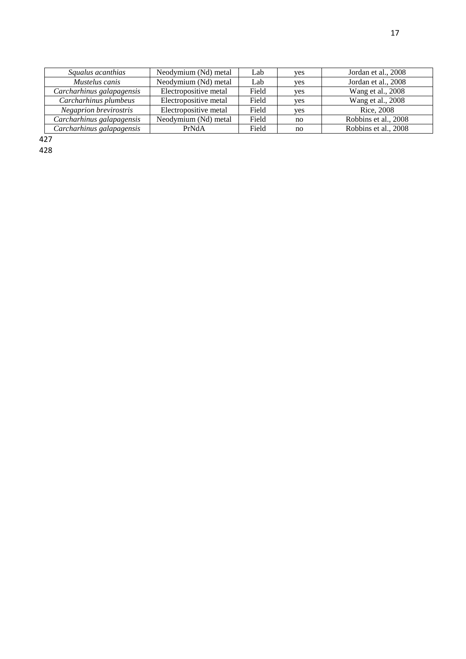| ۰. |  |
|----|--|
|    |  |

| Squalus acanthias         | Neodymium (Nd) metal  | Lab   | yes | Jordan et al., 2008  |
|---------------------------|-----------------------|-------|-----|----------------------|
| Mustelus canis            | Neodymium (Nd) metal  | Lab   | yes | Jordan et al., 2008  |
| Carcharhinus galapagensis | Electropositive metal | Field | yes | Wang et al., 2008    |
| Carcharhinus plumbeus     | Electropositive metal | Field | ves | Wang et al., 2008    |
| Negaprion brevirostris    | Electropositive metal | Field | ves | Rice, 2008           |
| Carcharhinus galapagensis | Neodymium (Nd) metal  | Field | no  | Robbins et al., 2008 |
| Carcharhinus galapagensis | PrNdA                 | Field | no  | Robbins et al., 2008 |

427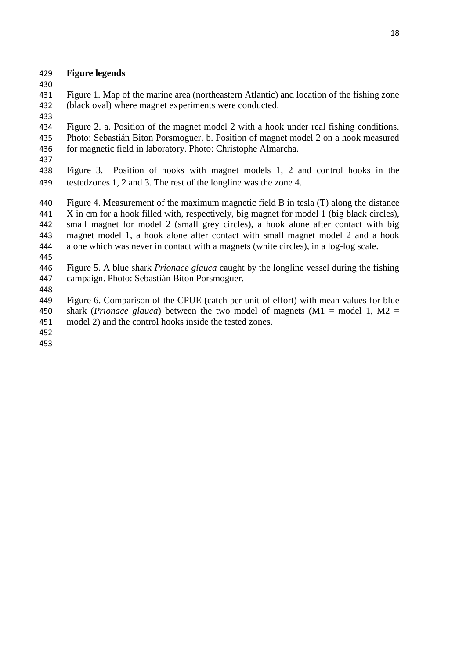### **Figure legends**

 Figure 1. Map of the marine area (northeastern Atlantic) and location of the fishing zone (black oval) where magnet experiments were conducted.

 Figure 2. a. Position of the magnet model 2 with a hook under real fishing conditions. Photo: Sebastián Biton Porsmoguer. b. Position of magnet model 2 on a hook measured for magnetic field in laboratory. Photo: Christophe Almarcha.

 Figure 3. Position of hooks with magnet models 1, 2 and control hooks in the testedzones 1, 2 and 3. The rest of the longline was the zone 4.

 Figure 4. Measurement of the maximum magnetic field B in tesla (T) along the distance X in cm for a hook filled with, respectively, big magnet for model 1 (big black circles), small magnet for model 2 (small grey circles), a hook alone after contact with big magnet model 1, a hook alone after contact with small magnet model 2 and a hook alone which was never in contact with a magnets (white circles), in a log-log scale. 

 Figure 5. A blue shark *Prionace glauca* caught by the longline vessel during the fishing campaign. Photo: Sebastián Biton Porsmoguer.

 Figure 6. Comparison of the CPUE (catch per unit of effort) with mean values for blue shark (*Prionace glauca*) between the two model of magnets (M1 = model 1, M2 = model 2) and the control hooks inside the tested zones.

- 
-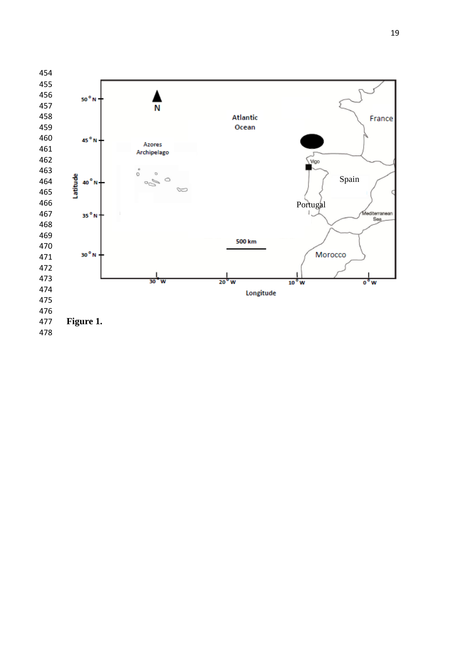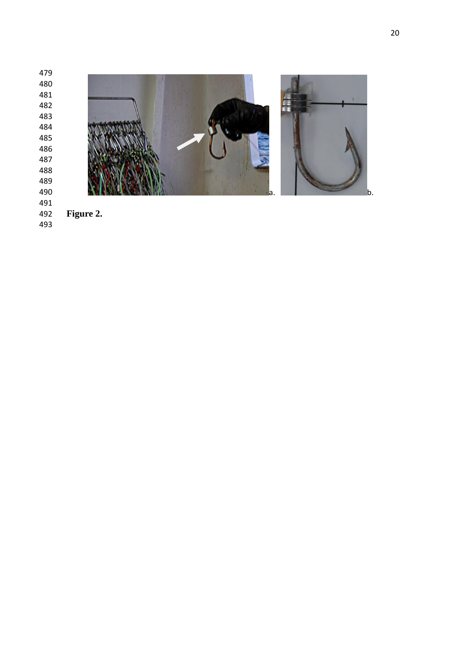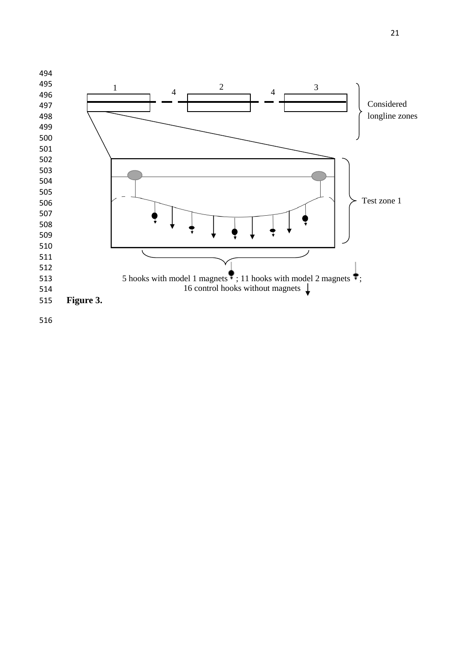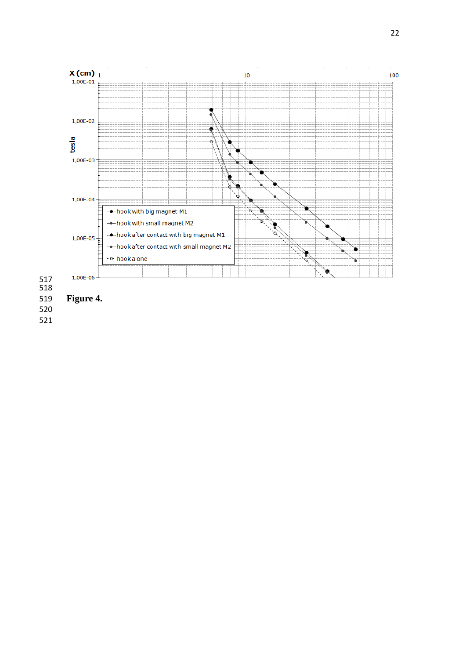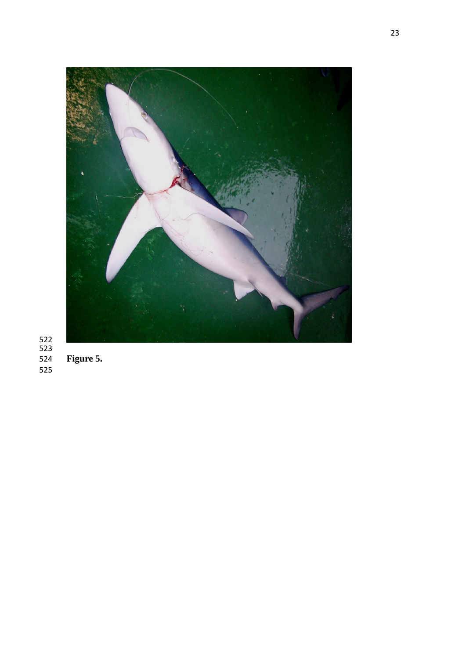

## 524<br>525